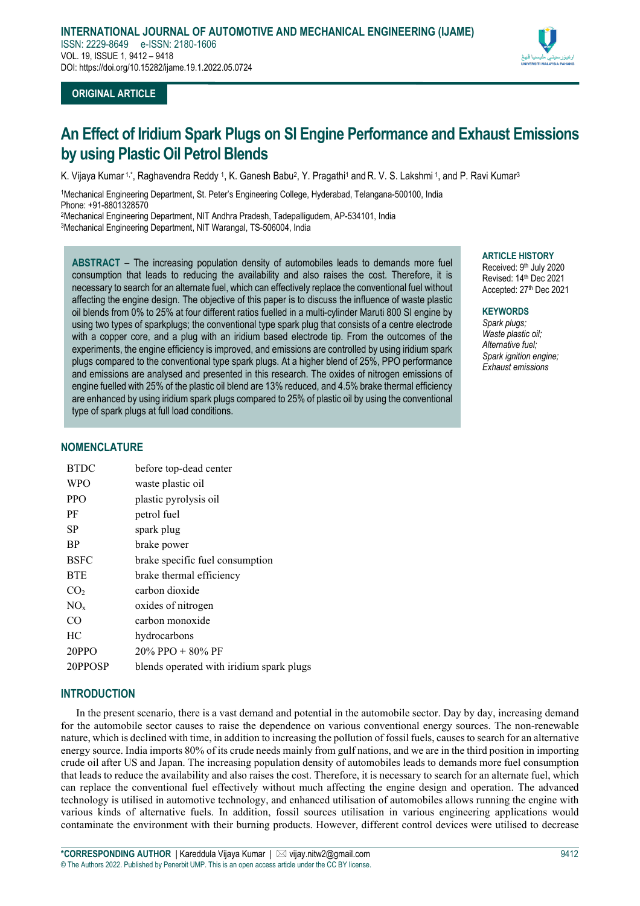

# **ORIGINAL ARTICLE**

# **An Effect of Iridium Spark Plugs on SI Engine Performance and Exhaust Emissions by using Plastic Oil Petrol Blends**

K. Vijaya Kumar 1,\*, Raghavendra Reddy 1, K. Ganesh Babu<sup>2</sup>, Y. Pragathi<sup>1</sup> and R. V. S. Lakshmi 1, and P. Ravi Kumar<sup>3</sup>

1Mechanical Engineering Department, St. Peter's Engineering College, Hyderabad, Telangana-500100, India Phone: +91-8801328570

2Mechanical Engineering Department, NIT Andhra Pradesh, Tadepalligudem, AP-534101, India 3Mechanical Engineering Department, NIT Warangal, TS-506004, India

**ABSTRACT** – The increasing population density of automobiles leads to demands more fuel consumption that leads to reducing the availability and also raises the cost. Therefore, it is necessary to search for an alternate fuel, which can effectively replace the conventional fuel without affecting the engine design. The objective of this paper is to discuss the influence of waste plastic oil blends from 0% to 25% at four different ratios fuelled in a multi-cylinder Maruti 800 SI engine by using two types of sparkplugs; the conventional type spark plug that consists of a centre electrode with a copper core, and a plug with an iridium based electrode tip. From the outcomes of the experiments, the engine efficiency is improved, and emissions are controlled by using iridium spark plugs compared to the conventional type spark plugs. At a higher blend of 25%, PPO performance and emissions are analysed and presented in this research. The oxides of nitrogen emissions of engine fuelled with 25% of the plastic oil blend are 13% reduced, and 4.5% brake thermal efficiency are enhanced by using iridium spark plugs compared to 25% of plastic oil by using the conventional type of spark plugs at full load conditions.

#### **ARTICLE HISTORY**

Received: 9th July 2020 Revised: 14th Dec 2021 Accepted: 27th Dec 2021

#### **KEYWORDS**

*Spark plugs; Waste plastic oil; Alternative fuel; Spark ignition engine; Exhaust emissions*

# **NOMENCLATURE**

| before top-dead center                   |
|------------------------------------------|
| waste plastic oil                        |
| plastic pyrolysis oil                    |
| petrol fuel                              |
| spark plug                               |
| brake power                              |
| brake specific fuel consumption          |
| brake thermal efficiency                 |
| carbon dioxide                           |
| oxides of nitrogen                       |
| carbon monoxide                          |
| hydrocarbons                             |
| $20\%$ PPO + 80% PF                      |
| blends operated with iridium spark plugs |
|                                          |

## **INTRODUCTION**

In the present scenario, there is a vast demand and potential in the automobile sector. Day by day, increasing demand for the automobile sector causes to raise the dependence on various conventional energy sources. The non-renewable nature, which is declined with time, in addition to increasing the pollution of fossil fuels, causes to search for an alternative energy source. India imports 80% of its crude needs mainly from gulf nations, and we are in the third position in importing crude oil after US and Japan. The increasing population density of automobiles leads to demands more fuel consumption that leads to reduce the availability and also raises the cost. Therefore, it is necessary to search for an alternate fuel, which can replace the conventional fuel effectively without much affecting the engine design and operation. The advanced technology is utilised in automotive technology, and enhanced utilisation of automobiles allows running the engine with various kinds of alternative fuels. In addition, fossil sources utilisation in various engineering applications would contaminate the environment with their burning products. However, different control devices were utilised to decrease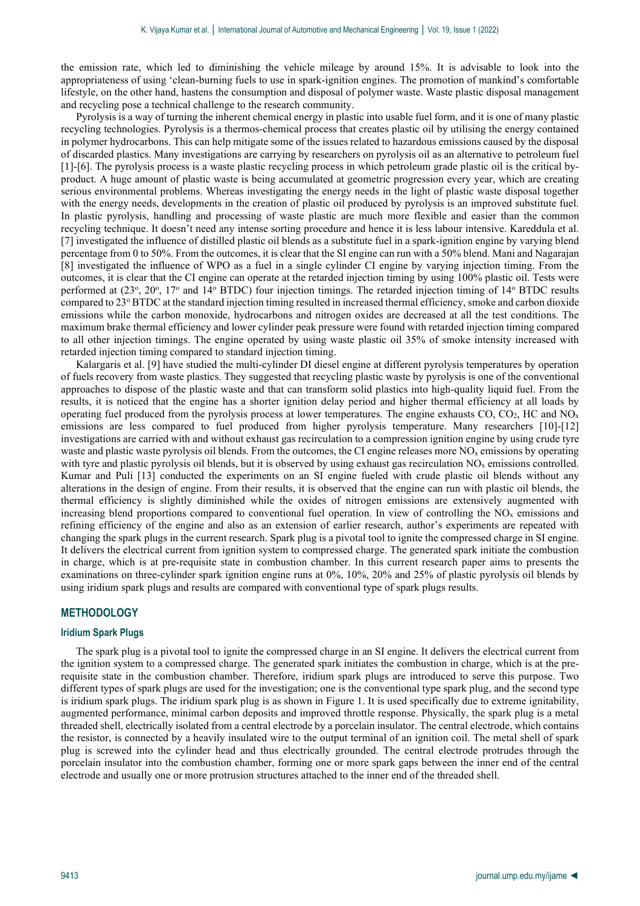the emission rate, which led to diminishing the vehicle mileage by around 15%. It is advisable to look into the appropriateness of using 'clean-burning fuels to use in spark-ignition engines. The promotion of mankind's comfortable lifestyle, on the other hand, hastens the consumption and disposal of polymer waste. Waste plastic disposal management and recycling pose a technical challenge to the research community.

Pyrolysis is a way of turning the inherent chemical energy in plastic into usable fuel form, and it is one of many plastic recycling technologies. Pyrolysis is a thermos-chemical process that creates plastic oil by utilising the energy contained in polymer hydrocarbons. This can help mitigate some of the issues related to hazardous emissions caused by the disposal of discarded plastics. Many investigations are carrying by researchers on pyrolysis oil as an alternative to petroleum fuel [1]-[6]. The pyrolysis process is a waste plastic recycling process in which petroleum grade plastic oil is the critical byproduct. A huge amount of plastic waste is being accumulated at geometric progression every year, which are creating serious environmental problems. Whereas investigating the energy needs in the light of plastic waste disposal together with the energy needs, developments in the creation of plastic oil produced by pyrolysis is an improved substitute fuel. In plastic pyrolysis, handling and processing of waste plastic are much more flexible and easier than the common recycling technique. It doesn't need any intense sorting procedure and hence it is less labour intensive. Kareddula et al. [7] investigated the influence of distilled plastic oil blends as a substitute fuel in a spark-ignition engine by varying blend percentage from 0 to 50%. From the outcomes, it is clear that the SI engine can run with a 50% blend. Mani and Nagarajan [8] investigated the influence of WPO as a fuel in a single cylinder CI engine by varying injection timing. From the outcomes, it is clear that the CI engine can operate at the retarded injection timing by using 100% plastic oil. Tests were performed at (23°, 20°, 17° and 14° BTDC) four injection timings. The retarded injection timing of 14° BTDC results compared to 23o BTDC at the standard injection timing resulted in increased thermal efficiency, smoke and carbon dioxide emissions while the carbon monoxide, hydrocarbons and nitrogen oxides are decreased at all the test conditions. The maximum brake thermal efficiency and lower cylinder peak pressure were found with retarded injection timing compared to all other injection timings. The engine operated by using waste plastic oil 35% of smoke intensity increased with retarded injection timing compared to standard injection timing.

Kalargaris et al. [9] have studied the multi-cylinder DI diesel engine at different pyrolysis temperatures by operation of fuels recovery from waste plastics. They suggested that recycling plastic waste by pyrolysis is one of the conventional approaches to dispose of the plastic waste and that can transform solid plastics into high-quality liquid fuel. From the results, it is noticed that the engine has a shorter ignition delay period and higher thermal efficiency at all loads by operating fuel produced from the pyrolysis process at lower temperatures. The engine exhausts CO, CO<sub>2</sub>, HC and NO<sub>x</sub> emissions are less compared to fuel produced from higher pyrolysis temperature. Many researchers [10]-[12] investigations are carried with and without exhaust gas recirculation to a compression ignition engine by using crude tyre waste and plastic waste pyrolysis oil blends. From the outcomes, the CI engine releases more  $NO<sub>x</sub>$  emissions by operating with tyre and plastic pyrolysis oil blends, but it is observed by using exhaust gas recirculation  $NO<sub>x</sub>$  emissions controlled. Kumar and Puli [13] conducted the experiments on an SI engine fueled with crude plastic oil blends without any alterations in the design of engine. From their results, it is observed that the engine can run with plastic oil blends, the thermal efficiency is slightly diminished while the oxides of nitrogen emissions are extensively augmented with increasing blend proportions compared to conventional fuel operation. In view of controlling the  $NO<sub>x</sub>$  emissions and refining efficiency of the engine and also as an extension of earlier research, author's experiments are repeated with changing the spark plugs in the current research. Spark plug is a pivotal tool to ignite the compressed charge in SI engine. It delivers the electrical current from ignition system to compressed charge. The generated spark initiate the combustion in charge, which is at pre-requisite state in combustion chamber. In this current research paper aims to presents the examinations on three-cylinder spark ignition engine runs at 0%, 10%, 20% and 25% of plastic pyrolysis oil blends by using iridium spark plugs and results are compared with conventional type of spark plugs results.

#### **METHODOLOGY**

## **Iridium Spark Plugs**

The spark plug is a pivotal tool to ignite the compressed charge in an SI engine. It delivers the electrical current from the ignition system to a compressed charge. The generated spark initiates the combustion in charge, which is at the prerequisite state in the combustion chamber. Therefore, iridium spark plugs are introduced to serve this purpose. Two different types of spark plugs are used for the investigation; one is the conventional type spark plug, and the second type is iridium spark plugs. The iridium spark plug is as shown in Figure 1. It is used specifically due to extreme ignitability, augmented performance, minimal carbon deposits and improved throttle response. Physically, the spark plug is a metal threaded shell, electrically isolated from a central electrode by a porcelain insulator. The central electrode, which contains the resistor, is connected by a heavily insulated wire to the output terminal of an ignition coil. The metal shell of spark plug is screwed into the cylinder head and thus electrically grounded. The central electrode protrudes through the porcelain insulator into the combustion chamber, forming one or more spark gaps between the inner end of the central electrode and usually one or more protrusion structures attached to the inner end of the threaded shell.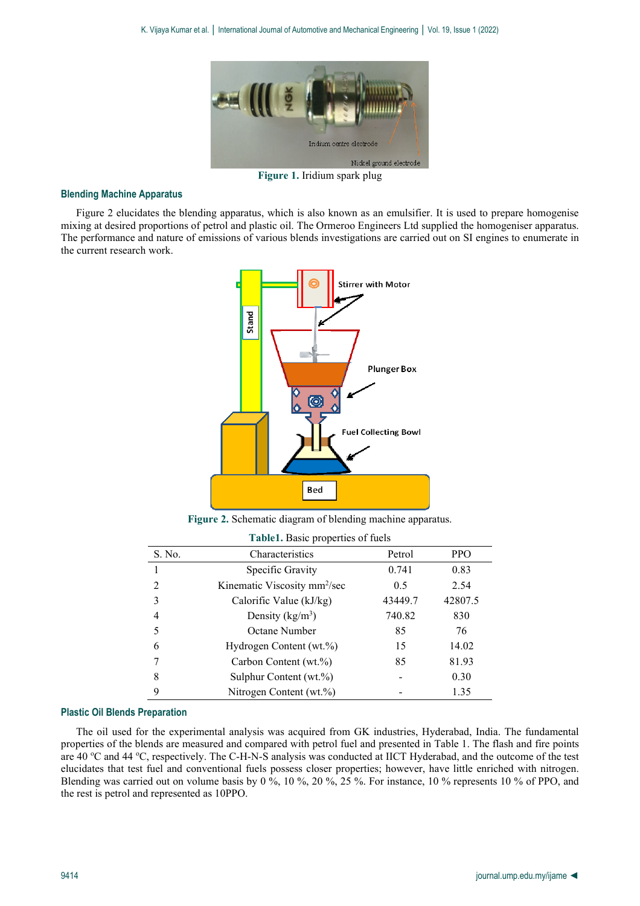

**Figure 1.** Iridium spark plug

#### **Blending Machine Apparatus**

Figure 2 elucidates the blending apparatus, which is also known as an emulsifier. It is used to prepare homogenise mixing at desired proportions of petrol and plastic oil. The Ormeroo Engineers Ltd supplied the homogeniser apparatus. The performance and nature of emissions of various blends investigations are carried out on SI engines to enumerate in the current research work.



**Figure 2.** Schematic diagram of blending machine apparatus.

| <b>Table1.</b> Basic properties of fuels |  |  |
|------------------------------------------|--|--|
|------------------------------------------|--|--|

| S. No. | Characteristics                          | Petrol  | <b>PPO</b> |
|--------|------------------------------------------|---------|------------|
|        | Specific Gravity                         | 0.741   | 0.83       |
|        | Kinematic Viscosity mm <sup>2</sup> /sec | 0.5     | 2.54       |
|        | Calorific Value (kJ/kg)                  | 43449.7 | 42807.5    |
| 4      | Density $(kg/m^3)$                       | 740.82  | 830        |
|        | Octane Number                            | 85      | 76         |
| 6      | Hydrogen Content (wt.%)                  | 15      | 14.02      |
|        | Carbon Content (wt.%)                    | 85      | 81.93      |
| 8      | Sulphur Content (wt.%)                   |         | 0.30       |
| 9      | Nitrogen Content (wt.%)                  |         | 1.35       |

#### **Plastic Oil Blends Preparation**

The oil used for the experimental analysis was acquired from GK industries, Hyderabad, India. The fundamental properties of the blends are measured and compared with petrol fuel and presented in Table 1. The flash and fire points are 40 °C and 44 °C, respectively. The C-H-N-S analysis was conducted at IICT Hyderabad, and the outcome of the test elucidates that test fuel and conventional fuels possess closer properties; however, have little enriched with nitrogen. Blending was carried out on volume basis by 0 %, 10 %, 20 %, 25 %. For instance, 10 % represents 10 % of PPO, and the rest is petrol and represented as 10PPO.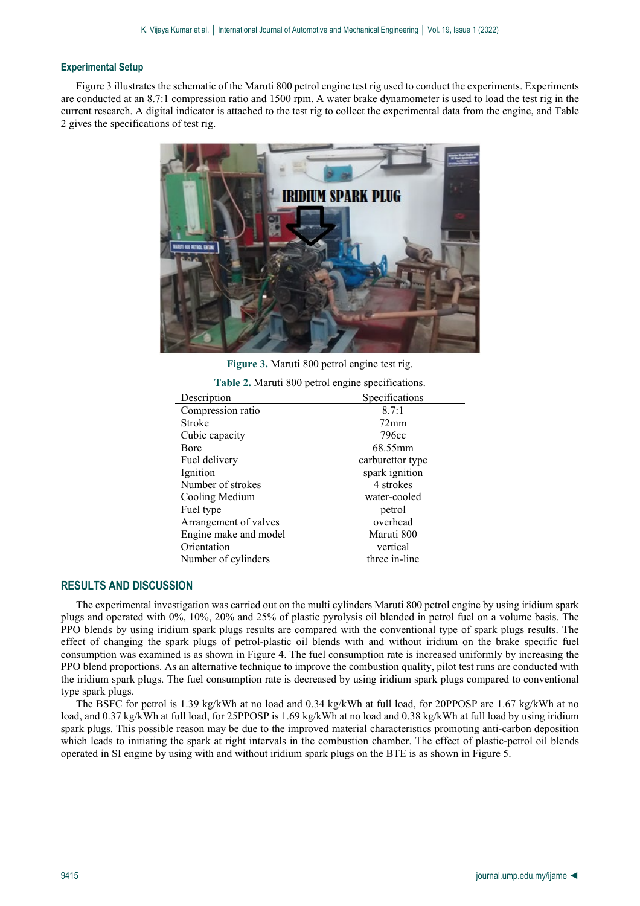#### **Experimental Setup**

Figure 3 illustrates the schematic of the Maruti 800 petrol engine test rig used to conduct the experiments. Experiments are conducted at an 8.7:1 compression ratio and 1500 rpm. A water brake dynamometer is used to load the test rig in the current research. A digital indicator is attached to the test rig to collect the experimental data from the engine, and Table 2 gives the specifications of test rig.



**Figure 3.** Maruti 800 petrol engine test rig.

| Table 2. Maruti 800 petrol engine specifications. |  |
|---------------------------------------------------|--|
|---------------------------------------------------|--|

| Description           | Specifications   |
|-----------------------|------------------|
| Compression ratio     | 8.7:1            |
| Stroke                | $72 \text{mm}$   |
| Cubic capacity        | 796cc            |
| Bore                  | 68.55mm          |
| Fuel delivery         | carburettor type |
| Ignition              | spark ignition   |
| Number of strokes     | 4 strokes        |
| Cooling Medium        | water-cooled     |
| Fuel type             | petrol           |
| Arrangement of valves | overhead         |
| Engine make and model | Maruti 800       |
| Orientation           | vertical         |
| Number of cylinders   | three in-line    |

## **RESULTS AND DISCUSSION**

The experimental investigation was carried out on the multi cylinders Maruti 800 petrol engine by using iridium spark plugs and operated with 0%, 10%, 20% and 25% of plastic pyrolysis oil blended in petrol fuel on a volume basis. The PPO blends by using iridium spark plugs results are compared with the conventional type of spark plugs results. The effect of changing the spark plugs of petrol-plastic oil blends with and without iridium on the brake specific fuel consumption was examined is as shown in Figure 4. The fuel consumption rate is increased uniformly by increasing the PPO blend proportions. As an alternative technique to improve the combustion quality, pilot test runs are conducted with the iridium spark plugs. The fuel consumption rate is decreased by using iridium spark plugs compared to conventional type spark plugs.

The BSFC for petrol is 1.39 kg/kWh at no load and 0.34 kg/kWh at full load, for 20PPOSP are 1.67 kg/kWh at no load, and 0.37 kg/kWh at full load, for 25PPOSP is 1.69 kg/kWh at no load and 0.38 kg/kWh at full load by using iridium spark plugs. This possible reason may be due to the improved material characteristics promoting anti-carbon deposition which leads to initiating the spark at right intervals in the combustion chamber. The effect of plastic-petrol oil blends operated in SI engine by using with and without iridium spark plugs on the BTE is as shown in Figure 5.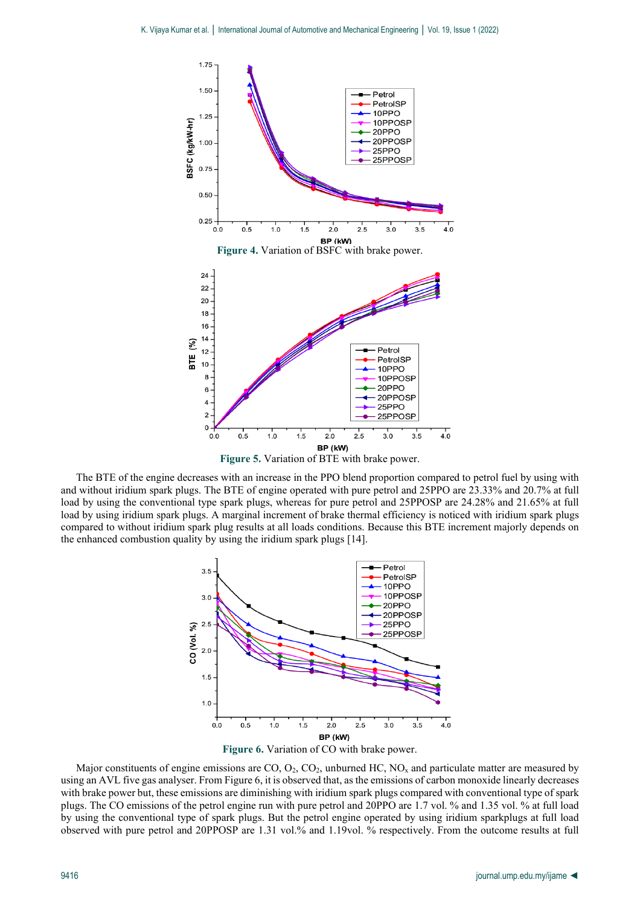

**Figure 5.** Variation of BTE with brake power.

The BTE of the engine decreases with an increase in the PPO blend proportion compared to petrol fuel by using with and without iridium spark plugs. The BTE of engine operated with pure petrol and 25PPO are 23.33% and 20.7% at full load by using the conventional type spark plugs, whereas for pure petrol and 25PPOSP are 24.28% and 21.65% at full load by using iridium spark plugs. A marginal increment of brake thermal efficiency is noticed with iridium spark plugs compared to without iridium spark plug results at all loads conditions. Because this BTE increment majorly depends on the enhanced combustion quality by using the iridium spark plugs [14].



Major constituents of engine emissions are  $CO$ ,  $O_2$ ,  $CO_2$ , unburned HC,  $NO<sub>x</sub>$  and particulate matter are measured by using an AVL five gas analyser. From Figure 6, it is observed that, as the emissions of carbon monoxide linearly decreases with brake power but, these emissions are diminishing with iridium spark plugs compared with conventional type of spark plugs. The CO emissions of the petrol engine run with pure petrol and 20PPO are 1.7 vol. % and 1.35 vol. % at full load by using the conventional type of spark plugs. But the petrol engine operated by using iridium sparkplugs at full load observed with pure petrol and 20PPOSP are 1.31 vol.% and 1.19vol. % respectively. From the outcome results at full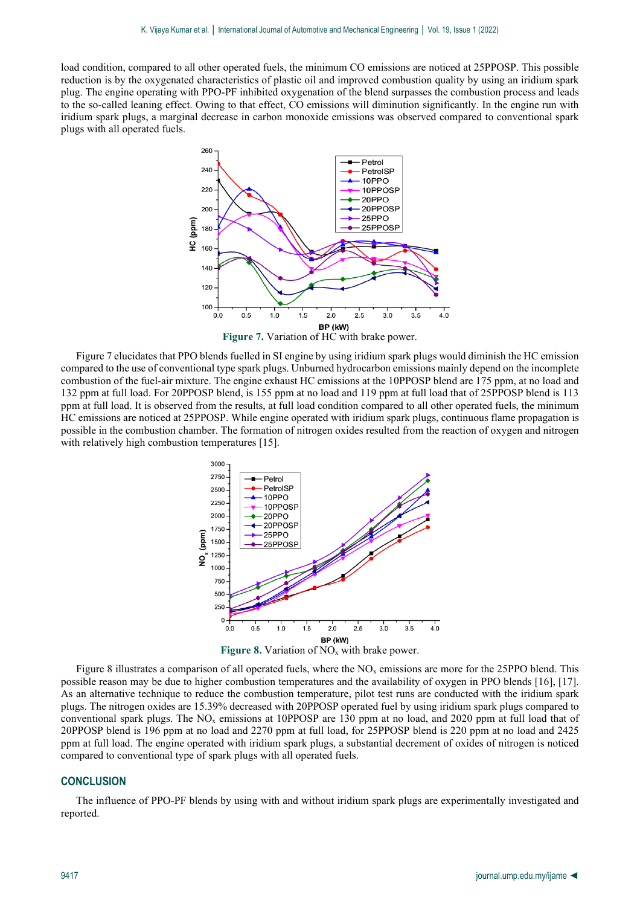load condition, compared to all other operated fuels, the minimum CO emissions are noticed at 25PPOSP. This possible reduction is by the oxygenated characteristics of plastic oil and improved combustion quality by using an iridium spark plug. The engine operating with PPO-PF inhibited oxygenation of the blend surpasses the combustion process and leads to the so-called leaning effect. Owing to that effect, CO emissions will diminution significantly. In the engine run with iridium spark plugs, a marginal decrease in carbon monoxide emissions was observed compared to conventional spark plugs with all operated fuels.



Figure 7 elucidates that PPO blends fuelled in SI engine by using iridium spark plugs would diminish the HC emission compared to the use of conventional type spark plugs. Unburned hydrocarbon emissions mainly depend on the incomplete combustion of the fuel-air mixture. The engine exhaust HC emissions at the 10PPOSP blend are 175 ppm, at no load and 132 ppm at full load. For 20PPOSP blend, is 155 ppm at no load and 119 ppm at full load that of 25PPOSP blend is 113 ppm at full load. It is observed from the results, at full load condition compared to all other operated fuels, the minimum HC emissions are noticed at 25PPOSP. While engine operated with iridium spark plugs, continuous flame propagation is possible in the combustion chamber. The formation of nitrogen oxides resulted from the reaction of oxygen and nitrogen with relatively high combustion temperatures [15].



Figure 8 illustrates a comparison of all operated fuels, where the  $NO<sub>x</sub>$  emissions are more for the 25PPO blend. This possible reason may be due to higher combustion temperatures and the availability of oxygen in PPO blends [16], [17]. As an alternative technique to reduce the combustion temperature, pilot test runs are conducted with the iridium spark plugs. The nitrogen oxides are 15.39% decreased with 20PPOSP operated fuel by using iridium spark plugs compared to conventional spark plugs. The NOx emissions at 10PPOSP are 130 ppm at no load, and 2020 ppm at full load that of 20PPOSP blend is 196 ppm at no load and 2270 ppm at full load, for 25PPOSP blend is 220 ppm at no load and 2425 ppm at full load. The engine operated with iridium spark plugs, a substantial decrement of oxides of nitrogen is noticed compared to conventional type of spark plugs with all operated fuels.

# **CONCLUSION**

The influence of PPO-PF blends by using with and without iridium spark plugs are experimentally investigated and reported.